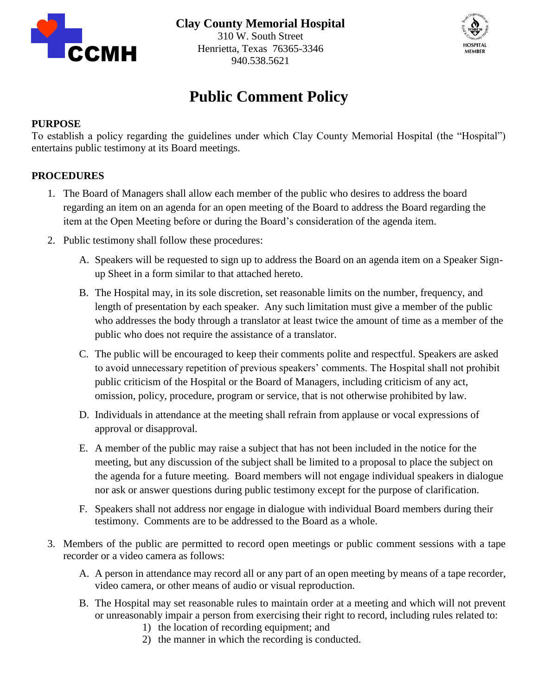



# **Public Comment Policy**

### **PURPOSE**

To establish a policy regarding the guidelines under which Clay County Memorial Hospital (the "Hospital") entertains public testimony at its Board meetings.

## **PROCEDURES**

- 1. The Board of Managers shall allow each member of the public who desires to address the board regarding an item on an agenda for an open meeting of the Board to address the Board regarding the item at the Open Meeting before or during the Board's consideration of the agenda item.
- 2. Public testimony shall follow these procedures:
	- A. Speakers will be requested to sign up to address the Board on an agenda item on a Speaker Signup Sheet in a form similar to that attached hereto.
	- B. The Hospital may, in its sole discretion, set reasonable limits on the number, frequency, and length of presentation by each speaker. Any such limitation must give a member of the public who addresses the body through a translator at least twice the amount of time as a member of the public who does not require the assistance of a translator.
	- C. The public will be encouraged to keep their comments polite and respectful. Speakers are asked to avoid unnecessary repetition of previous speakers' comments. The Hospital shall not prohibit public criticism of the Hospital or the Board of Managers, including criticism of any act, omission, policy, procedure, program or service, that is not otherwise prohibited by law.
	- D. Individuals in attendance at the meeting shall refrain from applause or vocal expressions of approval or disapproval.
	- E. A member of the public may raise a subject that has not been included in the notice for the meeting, but any discussion of the subject shall be limited to a proposal to place the subject on the agenda for a future meeting. Board members will not engage individual speakers in dialogue nor ask or answer questions during public testimony except for the purpose of clarification.
	- F. Speakers shall not address nor engage in dialogue with individual Board members during their testimony. Comments are to be addressed to the Board as a whole.
- 3. Members of the public are permitted to record open meetings or public comment sessions with a tape recorder or a video camera as follows:
	- A. A person in attendance may record all or any part of an open meeting by means of a tape recorder, video camera, or other means of audio or visual reproduction.
	- B. The Hospital may set reasonable rules to maintain order at a meeting and which will not prevent or unreasonably impair a person from exercising their right to record, including rules related to:
		- 1) the location of recording equipment; and
		- 2) the manner in which the recording is conducted.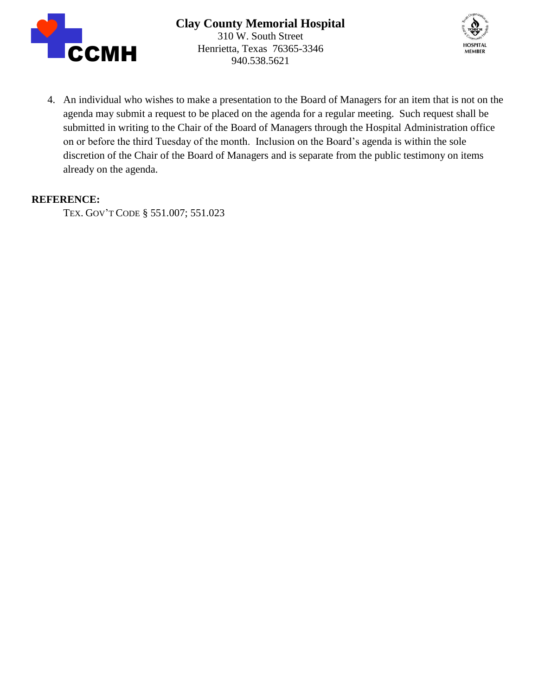



4. An individual who wishes to make a presentation to the Board of Managers for an item that is not on the agenda may submit a request to be placed on the agenda for a regular meeting. Such request shall be submitted in writing to the Chair of the Board of Managers through the Hospital Administration office on or before the third Tuesday of the month. Inclusion on the Board's agenda is within the sole discretion of the Chair of the Board of Managers and is separate from the public testimony on items already on the agenda.

### **REFERENCE:**

TEX. GOV'T CODE § 551.007; 551.023